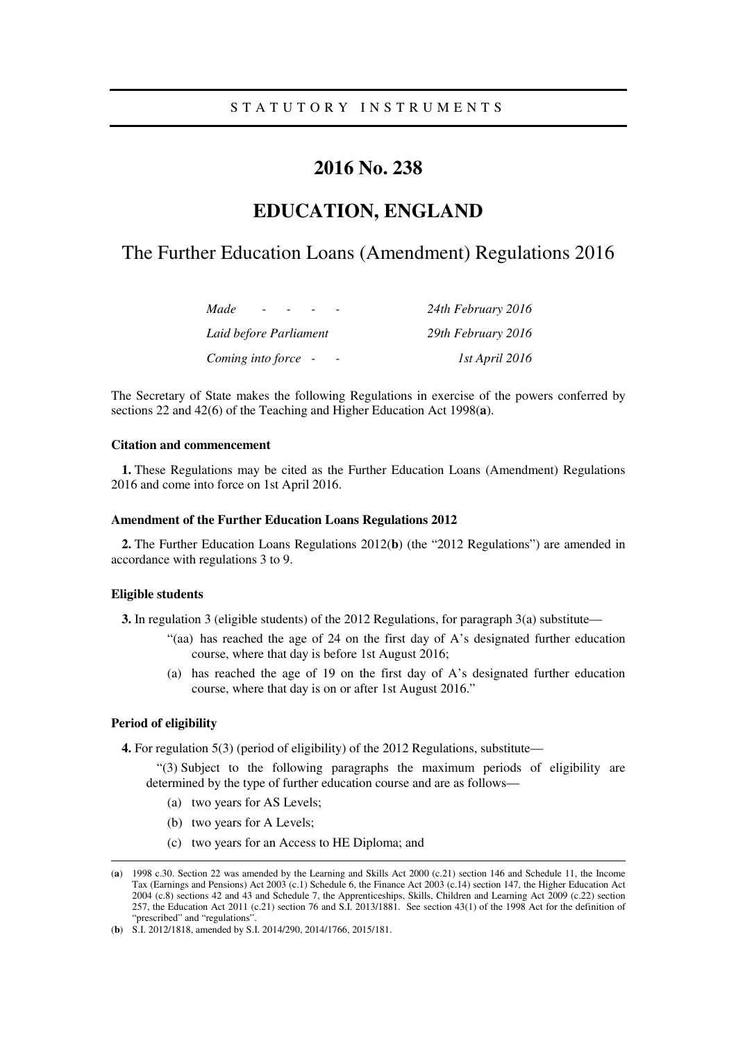## S T A T U T O R Y I N S T R U M E N T S

## **2016 No. 238**

# **EDUCATION, ENGLAND**

# The Further Education Loans (Amendment) Regulations 2016

| Made<br>$\overline{\phantom{0}}$ | 24th February 2016 |
|----------------------------------|--------------------|
| Laid before Parliament           | 29th February 2016 |
| Coming into force -              | 1st April 2016     |

The Secretary of State makes the following Regulations in exercise of the powers conferred by sections 22 and 42(6) of the Teaching and Higher Education Act 1998(**a**).

#### **Citation and commencement**

**1.** These Regulations may be cited as the Further Education Loans (Amendment) Regulations 2016 and come into force on 1st April 2016.

#### **Amendment of the Further Education Loans Regulations 2012**

**2.** The Further Education Loans Regulations 2012(**b**) (the "2012 Regulations") are amended in accordance with regulations 3 to 9.

### **Eligible students**

**3.** In regulation 3 (eligible students) of the 2012 Regulations, for paragraph 3(a) substitute—

- "(aa) has reached the age of 24 on the first day of A's designated further education course, where that day is before 1st August 2016;
- (a) has reached the age of 19 on the first day of A's designated further education course, where that day is on or after 1st August 2016."

### **Period of eligibility**

<u>.</u>

**4.** For regulation 5(3) (period of eligibility) of the 2012 Regulations, substitute—

"(3) Subject to the following paragraphs the maximum periods of eligibility are determined by the type of further education course and are as follows—

- (a) two years for AS Levels;
- (b) two years for A Levels;
- (c) two years for an Access to HE Diploma; and

<sup>(</sup>**a**) 1998 c.30. Section 22 was amended by the Learning and Skills Act 2000 (c.21) section 146 and Schedule 11, the Income Tax (Earnings and Pensions) Act 2003 (c.1) Schedule 6, the Finance Act 2003 (c.14) section 147, the Higher Education Act 2004 (c.8) sections 42 and 43 and Schedule 7, the Apprenticeships, Skills, Children and Learning Act 2009 (c.22) section 257, the Education Act 2011 (c.21) section 76 and S.I. 2013/1881. See section 43(1) of the 1998 Act for the definition of "prescribed" and "regulations"

<sup>(</sup>**b**) S.I. 2012/1818, amended by S.I. 2014/290, 2014/1766, 2015/181.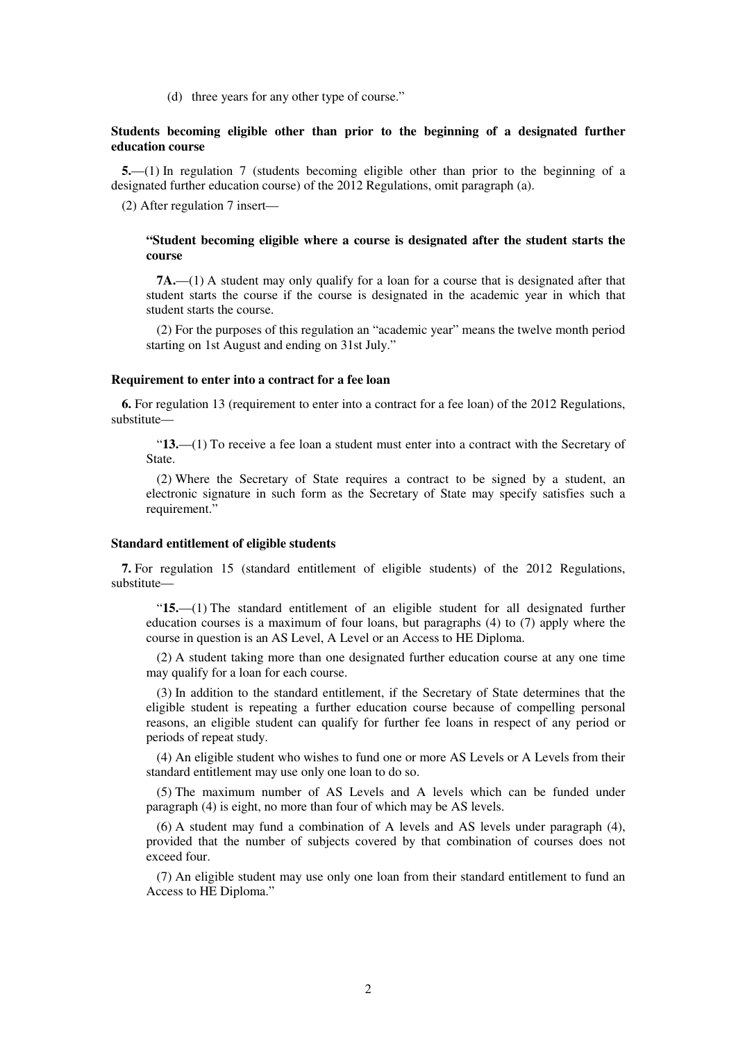(d) three years for any other type of course."

### **Students becoming eligible other than prior to the beginning of a designated further education course**

**5.**—(1) In regulation 7 (students becoming eligible other than prior to the beginning of a designated further education course) of the 2012 Regulations, omit paragraph (a).

(2) After regulation 7 insert—

#### **"Student becoming eligible where a course is designated after the student starts the course**

**7A.**—(1) A student may only qualify for a loan for a course that is designated after that student starts the course if the course is designated in the academic year in which that student starts the course.

(2) For the purposes of this regulation an "academic year" means the twelve month period starting on 1st August and ending on 31st July."

#### **Requirement to enter into a contract for a fee loan**

**6.** For regulation 13 (requirement to enter into a contract for a fee loan) of the 2012 Regulations, substitute—

"**13.**—(1) To receive a fee loan a student must enter into a contract with the Secretary of State.

(2) Where the Secretary of State requires a contract to be signed by a student, an electronic signature in such form as the Secretary of State may specify satisfies such a requirement."

#### **Standard entitlement of eligible students**

**7.** For regulation 15 (standard entitlement of eligible students) of the 2012 Regulations, substitute—

"**15.**—(1) The standard entitlement of an eligible student for all designated further education courses is a maximum of four loans, but paragraphs (4) to (7) apply where the course in question is an AS Level, A Level or an Access to HE Diploma.

(2) A student taking more than one designated further education course at any one time may qualify for a loan for each course.

(3) In addition to the standard entitlement, if the Secretary of State determines that the eligible student is repeating a further education course because of compelling personal reasons, an eligible student can qualify for further fee loans in respect of any period or periods of repeat study.

(4) An eligible student who wishes to fund one or more AS Levels or A Levels from their standard entitlement may use only one loan to do so.

(5) The maximum number of AS Levels and A levels which can be funded under paragraph (4) is eight, no more than four of which may be AS levels.

(6) A student may fund a combination of A levels and AS levels under paragraph (4), provided that the number of subjects covered by that combination of courses does not exceed four.

(7) An eligible student may use only one loan from their standard entitlement to fund an Access to HE Diploma."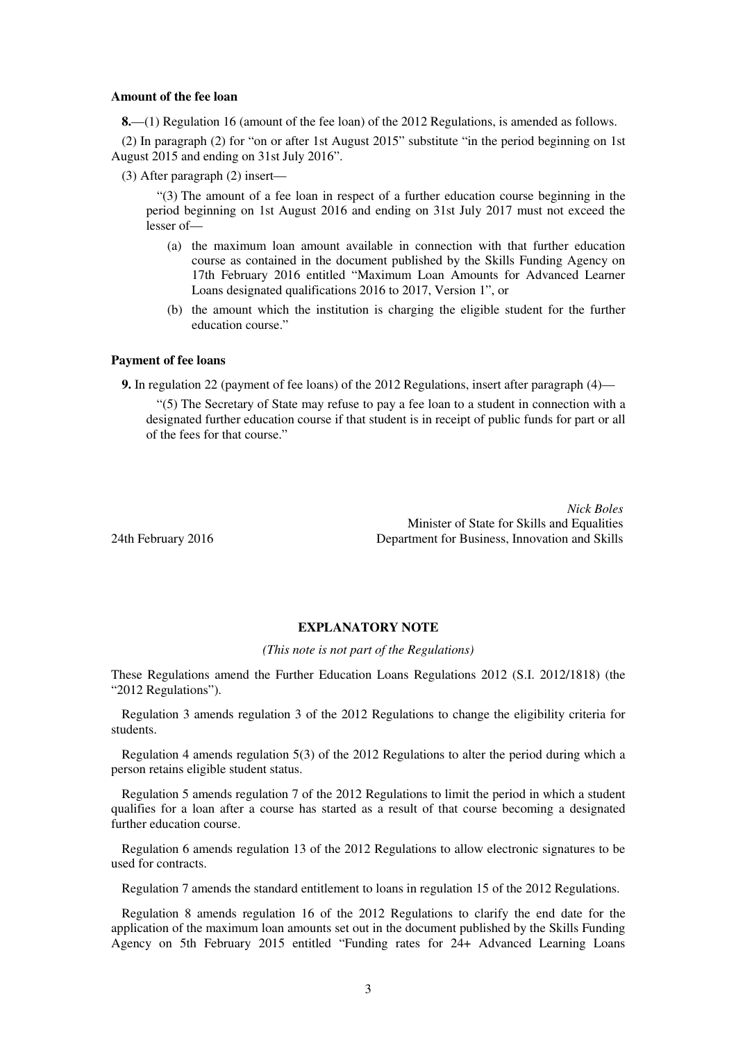#### **Amount of the fee loan**

**8.**—(1) Regulation 16 (amount of the fee loan) of the 2012 Regulations, is amended as follows.

(2) In paragraph (2) for "on or after 1st August 2015" substitute "in the period beginning on 1st August 2015 and ending on 31st July 2016".

(3) After paragraph (2) insert—

"(3) The amount of a fee loan in respect of a further education course beginning in the period beginning on 1st August 2016 and ending on 31st July 2017 must not exceed the lesser of—

- (a) the maximum loan amount available in connection with that further education course as contained in the document published by the Skills Funding Agency on 17th February 2016 entitled "Maximum Loan Amounts for Advanced Learner Loans designated qualifications 2016 to 2017, Version 1", or
- (b) the amount which the institution is charging the eligible student for the further education course."

#### **Payment of fee loans**

**9.** In regulation 22 (payment of fee loans) of the 2012 Regulations, insert after paragraph (4)—

"(5) The Secretary of State may refuse to pay a fee loan to a student in connection with a designated further education course if that student is in receipt of public funds for part or all of the fees for that course."

*Nick Boles* Minister of State for Skills and Equalities 24th February 2016 Department for Business, Innovation and Skills

### **EXPLANATORY NOTE**

*(This note is not part of the Regulations)* 

These Regulations amend the Further Education Loans Regulations 2012 (S.I. 2012/1818) (the "2012 Regulations").

Regulation 3 amends regulation 3 of the 2012 Regulations to change the eligibility criteria for students.

Regulation 4 amends regulation 5(3) of the 2012 Regulations to alter the period during which a person retains eligible student status.

Regulation 5 amends regulation 7 of the 2012 Regulations to limit the period in which a student qualifies for a loan after a course has started as a result of that course becoming a designated further education course.

Regulation 6 amends regulation 13 of the 2012 Regulations to allow electronic signatures to be used for contracts.

Regulation 7 amends the standard entitlement to loans in regulation 15 of the 2012 Regulations.

Regulation 8 amends regulation 16 of the 2012 Regulations to clarify the end date for the application of the maximum loan amounts set out in the document published by the Skills Funding Agency on 5th February 2015 entitled "Funding rates for 24+ Advanced Learning Loans